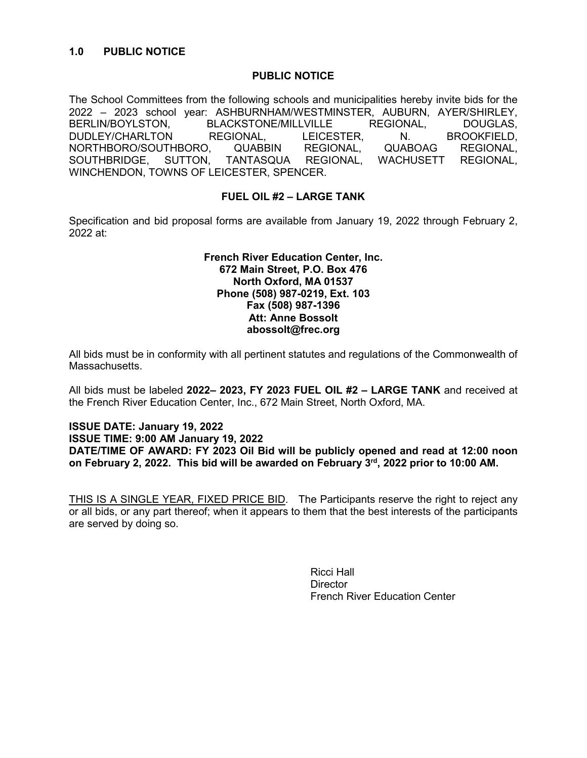#### **PUBLIC NOTICE**

The School Committees from the following schools and municipalities hereby invite bids for the 2022 – 2023 school year: ASHBURNHAM/WESTMINSTER, AUBURN, AYER/SHIRLEY, BERLIN/BOYLSTON, BLACKSTONE/MILLVILLE REGIONAL, DOUGLAS, DUDLEY/CHARLTON REGIONAL, LEICESTER, N. BROOKFIELD, NORTHBORO/SOUTHBORO, QUABBIN REGIONAL, QUABOAG REGIONAL, SOUTHBRIDGE, SUTTON, TANTASQUA REGIONAL, WACHUSETT REGIONAL, WINCHENDON, TOWNS OF LEICESTER, SPENCER.

## **FUEL OIL #2 – LARGE TANK**

Specification and bid proposal forms are available from January 19, 2022 through February 2, 2022 at:

#### **French River Education Center, Inc. 672 Main Street, P.O. Box 476 North Oxford, MA 01537 Phone (508) 987-0219, Ext. 103 Fax (508) 987-1396 Att: Anne Bossolt abossolt@frec.org**

All bids must be in conformity with all pertinent statutes and regulations of the Commonwealth of **Massachusetts** 

All bids must be labeled **2022– 2023, FY 2023 FUEL OIL #2 – LARGE TANK** and received at the French River Education Center, Inc., 672 Main Street, North Oxford, MA.

#### **ISSUE DATE: January 19, 2022 ISSUE TIME: 9:00 AM January 19, 2022 DATE/TIME OF AWARD: FY 2023 Oil Bid will be publicly opened and read at 12:00 noon on February 2, 2022. This bid will be awarded on February 3rd, 2022 prior to 10:00 AM.**

THIS IS A SINGLE YEAR, FIXED PRICE BID. The Participants reserve the right to reject any or all bids, or any part thereof; when it appears to them that the best interests of the participants are served by doing so.

> Ricci Hall **Director** French River Education Center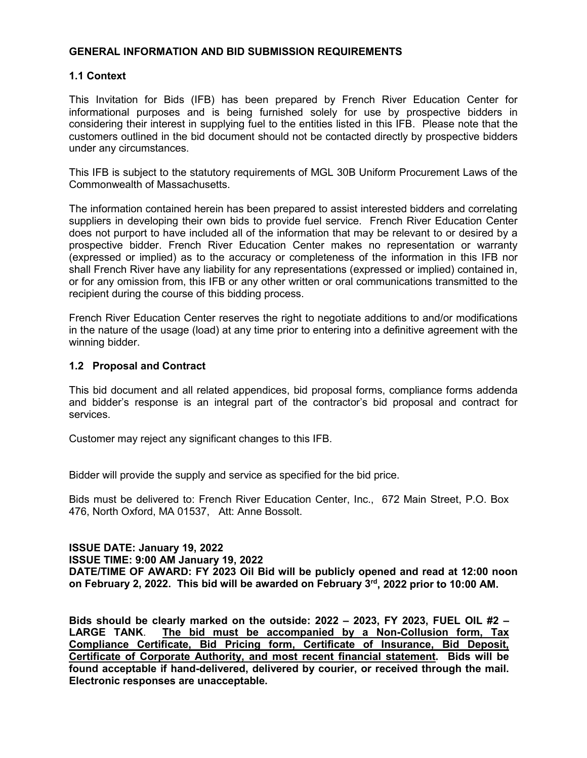#### **GENERAL INFORMATION AND BID SUBMISSION REQUIREMENTS**

## **1.1 Context**

This Invitation for Bids (IFB) has been prepared by French River Education Center for informational purposes and is being furnished solely for use by prospective bidders in considering their interest in supplying fuel to the entities listed in this IFB. Please note that the customers outlined in the bid document should not be contacted directly by prospective bidders under any circumstances.

This IFB is subject to the statutory requirements of MGL 30B Uniform Procurement Laws of the Commonwealth of Massachusetts.

The information contained herein has been prepared to assist interested bidders and correlating suppliers in developing their own bids to provide fuel service. French River Education Center does not purport to have included all of the information that may be relevant to or desired by a prospective bidder. French River Education Center makes no representation or warranty (expressed or implied) as to the accuracy or completeness of the information in this IFB nor shall French River have any liability for any representations (expressed or implied) contained in, or for any omission from, this IFB or any other written or oral communications transmitted to the recipient during the course of this bidding process.

French River Education Center reserves the right to negotiate additions to and/or modifications in the nature of the usage (load) at any time prior to entering into a definitive agreement with the winning bidder.

#### **1.2 Proposal and Contract**

This bid document and all related appendices, bid proposal forms, compliance forms addenda and bidder's response is an integral part of the contractor's bid proposal and contract for services.

Customer may reject any significant changes to this IFB.

Bidder will provide the supply and service as specified for the bid price.

Bids must be delivered to: French River Education Center, Inc., 672 Main Street, P.O. Box 476, North Oxford, MA 01537, Att: Anne Bossolt.

# **ISSUE DATE: January 19, 2022**

**ISSUE TIME: 9:00 AM January 19, 2022**

**DATE/TIME OF AWARD: FY 2023 Oil Bid will be publicly opened and read at 12:00 noon on February 2, 2022. This bid will be awarded on February 3rd, 2022 prior to 10:00 AM.**

**Bids should be clearly marked on the outside: 2022 – 2023, FY 2023, FUEL OIL #2 –** The bid must be accompanied by a Non-Collusion form, Tax **Compliance Certificate, Bid Pricing form, Certificate of Insurance, Bid Deposit, Certificate of Corporate Authority, and most recent financial statement. Bids will be found acceptable if hand-delivered, delivered by courier, or received through the mail. Electronic responses are unacceptable.**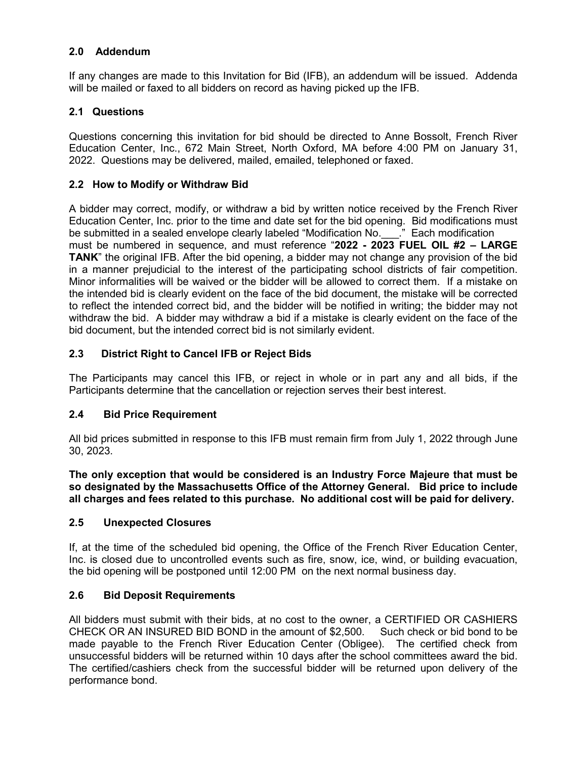# **2.0 Addendum**

If any changes are made to this Invitation for Bid (IFB), an addendum will be issued. Addenda will be mailed or faxed to all bidders on record as having picked up the IFB.

## **2.1 Questions**

Questions concerning this invitation for bid should be directed to Anne Bossolt, French River Education Center, Inc., 672 Main Street, North Oxford, MA before 4:00 PM on January 31, 2022. Questions may be delivered, mailed, emailed, telephoned or faxed.

## **2.2 How to Modify or Withdraw Bid**

A bidder may correct, modify, or withdraw a bid by written notice received by the French River Education Center, Inc. prior to the time and date set for the bid opening. Bid modifications must be submitted in a sealed envelope clearly labeled "Modification No. [35] Each modification must be numbered in sequence, and must reference "**2022 - 2023 FUEL OIL #2 – LARGE TANK**" the original IFB. After the bid opening, a bidder may not change any provision of the bid in a manner prejudicial to the interest of the participating school districts of fair competition. Minor informalities will be waived or the bidder will be allowed to correct them. If a mistake on the intended bid is clearly evident on the face of the bid document, the mistake will be corrected to reflect the intended correct bid, and the bidder will be notified in writing; the bidder may not withdraw the bid. A bidder may withdraw a bid if a mistake is clearly evident on the face of the bid document, but the intended correct bid is not similarly evident.

# **2.3 District Right to Cancel IFB or Reject Bids**

The Participants may cancel this IFB, or reject in whole or in part any and all bids, if the Participants determine that the cancellation or rejection serves their best interest.

## **2.4 Bid Price Requirement**

All bid prices submitted in response to this IFB must remain firm from July 1, 2022 through June 30, 2023.

**The only exception that would be considered is an Industry Force Majeure that must be so designated by the Massachusetts Office of the Attorney General. Bid price to include all charges and fees related to this purchase. No additional cost will be paid for delivery.** 

## **2.5 Unexpected Closures**

If, at the time of the scheduled bid opening, the Office of the French River Education Center, Inc. is closed due to uncontrolled events such as fire, snow, ice, wind, or building evacuation, the bid opening will be postponed until 12:00 PM on the next normal business day.

## **2.6 Bid Deposit Requirements**

All bidders must submit with their bids, at no cost to the owner, a CERTIFIED OR CASHIERS<br>CHECK OR AN INSURED BID BOND in the amount of \$2,500. Such check or bid bond to be CHECK OR AN INSURED BID BOND in the amount of \$2,500. made payable to the French River Education Center (Obligee). The certified check from unsuccessful bidders will be returned within 10 days after the school committees award the bid. The certified/cashiers check from the successful bidder will be returned upon delivery of the performance bond.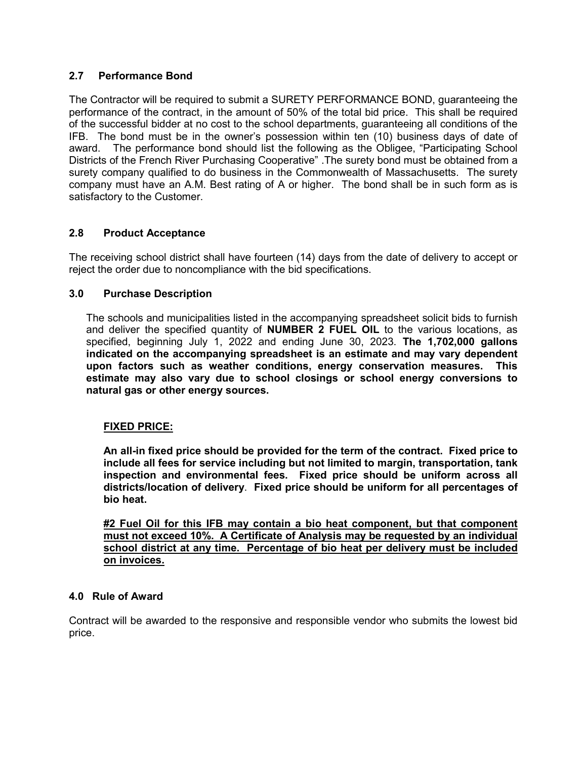# **2.7 Performance Bond**

The Contractor will be required to submit a SURETY PERFORMANCE BOND, guaranteeing the performance of the contract, in the amount of 50% of the total bid price. This shall be required of the successful bidder at no cost to the school departments, guaranteeing all conditions of the IFB. The bond must be in the owner's possession within ten (10) business days of date of award. The performance bond should list the following as the Obligee, "Participating School Districts of the French River Purchasing Cooperative" .The surety bond must be obtained from a surety company qualified to do business in the Commonwealth of Massachusetts. The surety company must have an A.M. Best rating of A or higher. The bond shall be in such form as is satisfactory to the Customer.

# **2.8 Product Acceptance**

The receiving school district shall have fourteen (14) days from the date of delivery to accept or reject the order due to noncompliance with the bid specifications.

## **3.0 Purchase Description**

The schools and municipalities listed in the accompanying spreadsheet solicit bids to furnish and deliver the specified quantity of **NUMBER 2 FUEL OIL** to the various locations, as specified, beginning July 1, 2022 and ending June 30, 2023. **The 1,702,000 gallons indicated on the accompanying spreadsheet is an estimate and may vary dependent upon factors such as weather conditions, energy conservation measures. This estimate may also vary due to school closings or school energy conversions to natural gas or other energy sources.** 

## **FIXED PRICE:**

**An all-in fixed price should be provided for the term of the contract. Fixed price to include all fees for service including but not limited to margin, transportation, tank inspection and environmental fees. Fixed price should be uniform across all districts/location of delivery**. **Fixed price should be uniform for all percentages of bio heat.**

**#2 Fuel Oil for this IFB may contain a bio heat component, but that component must not exceed 10%. A Certificate of Analysis may be requested by an individual school district at any time. Percentage of bio heat per delivery must be included on invoices.**

## **4.0 Rule of Award**

Contract will be awarded to the responsive and responsible vendor who submits the lowest bid price.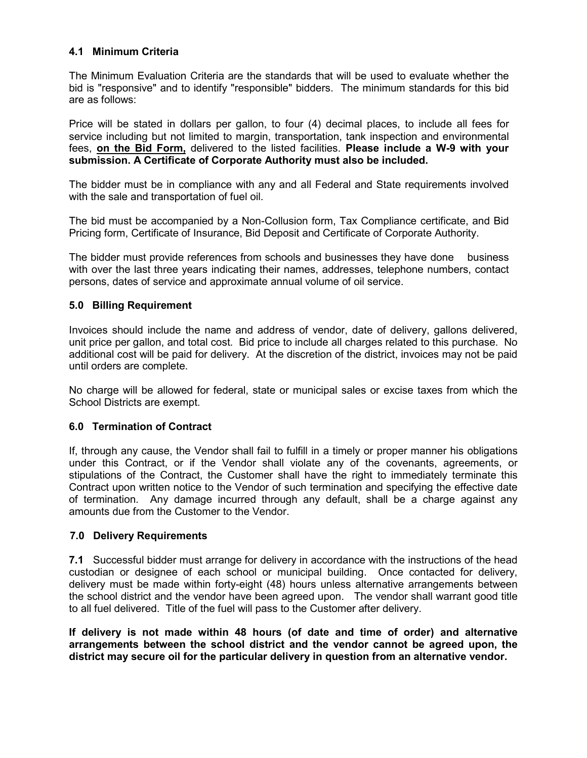## **4.1 Minimum Criteria**

The Minimum Evaluation Criteria are the standards that will be used to evaluate whether the bid is "responsive" and to identify "responsible" bidders. The minimum standards for this bid are as follows:

Price will be stated in dollars per gallon, to four (4) decimal places, to include all fees for service including but not limited to margin, transportation, tank inspection and environmental fees, **on the Bid Form,** delivered to the listed facilities. **Please include a W-9 with your submission. A Certificate of Corporate Authority must also be included.** 

The bidder must be in compliance with any and all Federal and State requirements involved with the sale and transportation of fuel oil.

The bid must be accompanied by a Non-Collusion form, Tax Compliance certificate, and Bid Pricing form, Certificate of Insurance, Bid Deposit and Certificate of Corporate Authority.

The bidder must provide references from schools and businesses they have done business with over the last three years indicating their names, addresses, telephone numbers, contact persons, dates of service and approximate annual volume of oil service.

## **5.0 Billing Requirement**

Invoices should include the name and address of vendor, date of delivery, gallons delivered, unit price per gallon, and total cost. Bid price to include all charges related to this purchase. No additional cost will be paid for delivery. At the discretion of the district, invoices may not be paid until orders are complete.

No charge will be allowed for federal, state or municipal sales or excise taxes from which the School Districts are exempt.

## **6.0 Termination of Contract**

If, through any cause, the Vendor shall fail to fulfill in a timely or proper manner his obligations under this Contract, or if the Vendor shall violate any of the covenants, agreements, or stipulations of the Contract, the Customer shall have the right to immediately terminate this Contract upon written notice to the Vendor of such termination and specifying the effective date of termination. Any damage incurred through any default, shall be a charge against any amounts due from the Customer to the Vendor.

## **7.0 Delivery Requirements**

**7.1** Successful bidder must arrange for delivery in accordance with the instructions of the head custodian or designee of each school or municipal building. Once contacted for delivery, delivery must be made within forty-eight (48) hours unless alternative arrangements between the school district and the vendor have been agreed upon. The vendor shall warrant good title to all fuel delivered. Title of the fuel will pass to the Customer after delivery.

**If delivery is not made within 48 hours (of date and time of order) and alternative arrangements between the school district and the vendor cannot be agreed upon, the district may secure oil for the particular delivery in question from an alternative vendor.**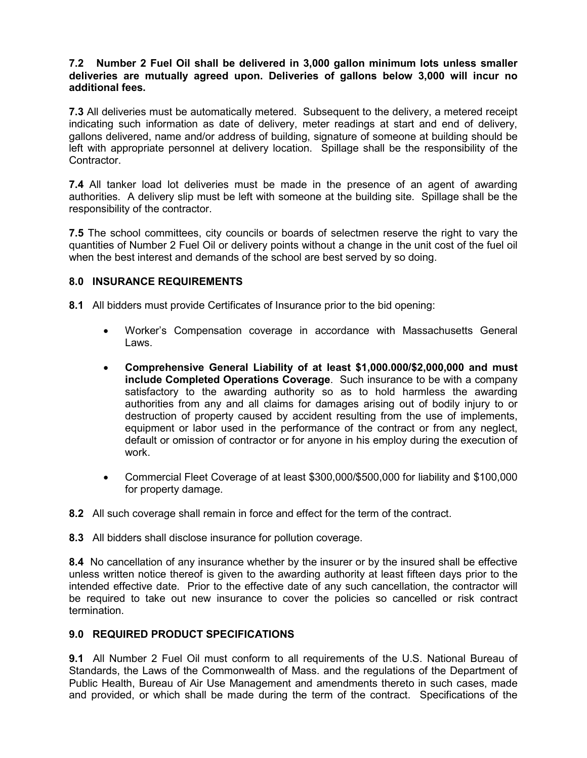#### **7.2 Number 2 Fuel Oil shall be delivered in 3,000 gallon minimum lots unless smaller deliveries are mutually agreed upon. Deliveries of gallons below 3,000 will incur no additional fees.**

**7.3** All deliveries must be automatically metered. Subsequent to the delivery, a metered receipt indicating such information as date of delivery, meter readings at start and end of delivery, gallons delivered, name and/or address of building, signature of someone at building should be left with appropriate personnel at delivery location. Spillage shall be the responsibility of the Contractor.

**7.4** All tanker load lot deliveries must be made in the presence of an agent of awarding authorities. A delivery slip must be left with someone at the building site. Spillage shall be the responsibility of the contractor.

**7.5** The school committees, city councils or boards of selectmen reserve the right to vary the quantities of Number 2 Fuel Oil or delivery points without a change in the unit cost of the fuel oil when the best interest and demands of the school are best served by so doing.

# **8.0 INSURANCE REQUIREMENTS**

**8.1** All bidders must provide Certificates of Insurance prior to the bid opening:

- Worker's Compensation coverage in accordance with Massachusetts General Laws.
- **Comprehensive General Liability of at least \$1,000.000/\$2,000,000 and must include Completed Operations Coverage**. Such insurance to be with a company satisfactory to the awarding authority so as to hold harmless the awarding authorities from any and all claims for damages arising out of bodily injury to or destruction of property caused by accident resulting from the use of implements, equipment or labor used in the performance of the contract or from any neglect, default or omission of contractor or for anyone in his employ during the execution of work.
- Commercial Fleet Coverage of at least \$300,000/\$500,000 for liability and \$100,000 for property damage.
- **8.2** All such coverage shall remain in force and effect for the term of the contract.
- **8.3** All bidders shall disclose insurance for pollution coverage.

**8.4** No cancellation of any insurance whether by the insurer or by the insured shall be effective unless written notice thereof is given to the awarding authority at least fifteen days prior to the intended effective date. Prior to the effective date of any such cancellation, the contractor will be required to take out new insurance to cover the policies so cancelled or risk contract termination.

## **9.0 REQUIRED PRODUCT SPECIFICATIONS**

**9.1** All Number 2 Fuel Oil must conform to all requirements of the U.S. National Bureau of Standards, the Laws of the Commonwealth of Mass. and the regulations of the Department of Public Health, Bureau of Air Use Management and amendments thereto in such cases, made and provided, or which shall be made during the term of the contract. Specifications of the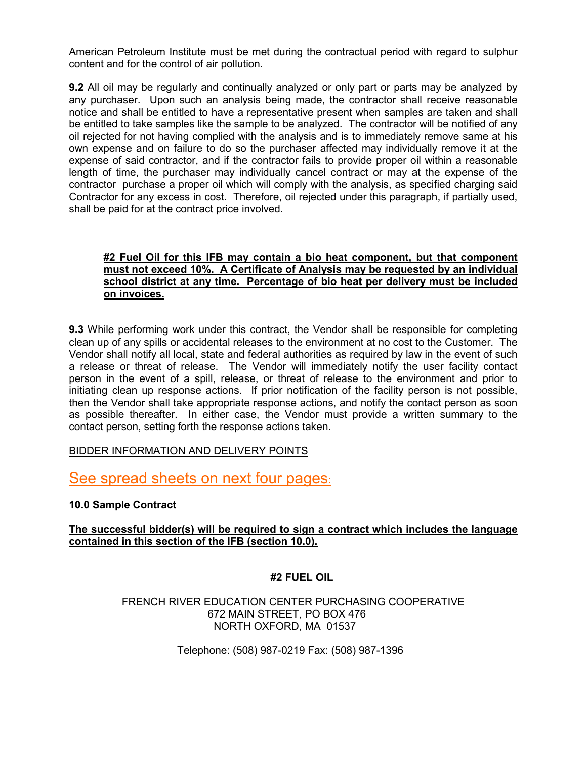American Petroleum Institute must be met during the contractual period with regard to sulphur content and for the control of air pollution.

**9.2** All oil may be regularly and continually analyzed or only part or parts may be analyzed by any purchaser. Upon such an analysis being made, the contractor shall receive reasonable notice and shall be entitled to have a representative present when samples are taken and shall be entitled to take samples like the sample to be analyzed. The contractor will be notified of any oil rejected for not having complied with the analysis and is to immediately remove same at his own expense and on failure to do so the purchaser affected may individually remove it at the expense of said contractor, and if the contractor fails to provide proper oil within a reasonable length of time, the purchaser may individually cancel contract or may at the expense of the contractor purchase a proper oil which will comply with the analysis, as specified charging said Contractor for any excess in cost. Therefore, oil rejected under this paragraph, if partially used, shall be paid for at the contract price involved.

## **#2 Fuel Oil for this IFB may contain a bio heat component, but that component must not exceed 10%. A Certificate of Analysis may be requested by an individual school district at any time. Percentage of bio heat per delivery must be included on invoices.**

**9.3** While performing work under this contract, the Vendor shall be responsible for completing clean up of any spills or accidental releases to the environment at no cost to the Customer. The Vendor shall notify all local, state and federal authorities as required by law in the event of such a release or threat of release. The Vendor will immediately notify the user facility contact person in the event of a spill, release, or threat of release to the environment and prior to initiating clean up response actions. If prior notification of the facility person is not possible, then the Vendor shall take appropriate response actions, and notify the contact person as soon as possible thereafter. In either case, the Vendor must provide a written summary to the contact person, setting forth the response actions taken.

## BIDDER INFORMATION AND DELIVERY POINTS

See spread sheets on next four pages:

## **10.0 Sample Contract**

# **The successful bidder(s) will be required to sign a contract which includes the language contained in this section of the IFB (section 10.0).**

## **#2 FUEL OIL**

#### FRENCH RIVER EDUCATION CENTER PURCHASING COOPERATIVE 672 MAIN STREET, PO BOX 476 NORTH OXFORD, MA 01537

Telephone: (508) 987-0219 Fax: (508) 987-1396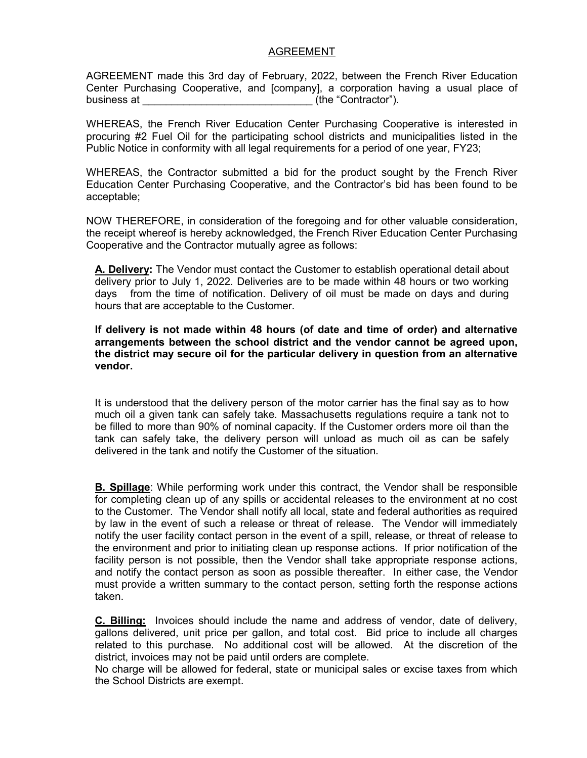#### AGREEMENT

AGREEMENT made this 3rd day of February, 2022, between the French River Education Center Purchasing Cooperative, and [company], a corporation having a usual place of business at  $($ the "Contractor").

WHEREAS, the French River Education Center Purchasing Cooperative is interested in procuring #2 Fuel Oil for the participating school districts and municipalities listed in the Public Notice in conformity with all legal requirements for a period of one year, FY23;

WHEREAS, the Contractor submitted a bid for the product sought by the French River Education Center Purchasing Cooperative, and the Contractor's bid has been found to be acceptable;

NOW THEREFORE, in consideration of the foregoing and for other valuable consideration, the receipt whereof is hereby acknowledged, the French River Education Center Purchasing Cooperative and the Contractor mutually agree as follows:

**A. Delivery:** The Vendor must contact the Customer to establish operational detail about delivery prior to July 1, 2022. Deliveries are to be made within 48 hours or two working days from the time of notification. Delivery of oil must be made on days and during hours that are acceptable to the Customer.

**If delivery is not made within 48 hours (of date and time of order) and alternative arrangements between the school district and the vendor cannot be agreed upon, the district may secure oil for the particular delivery in question from an alternative vendor.** 

It is understood that the delivery person of the motor carrier has the final say as to how much oil a given tank can safely take. Massachusetts regulations require a tank not to be filled to more than 90% of nominal capacity. If the Customer orders more oil than the tank can safely take, the delivery person will unload as much oil as can be safely delivered in the tank and notify the Customer of the situation.

**B. Spillage**: While performing work under this contract, the Vendor shall be responsible for completing clean up of any spills or accidental releases to the environment at no cost to the Customer. The Vendor shall notify all local, state and federal authorities as required by law in the event of such a release or threat of release. The Vendor will immediately notify the user facility contact person in the event of a spill, release, or threat of release to the environment and prior to initiating clean up response actions. If prior notification of the facility person is not possible, then the Vendor shall take appropriate response actions, and notify the contact person as soon as possible thereafter. In either case, the Vendor must provide a written summary to the contact person, setting forth the response actions taken.

**C. Billing:** Invoices should include the name and address of vendor, date of delivery, gallons delivered, unit price per gallon, and total cost. Bid price to include all charges related to this purchase. No additional cost will be allowed. At the discretion of the district, invoices may not be paid until orders are complete.

No charge will be allowed for federal, state or municipal sales or excise taxes from which the School Districts are exempt.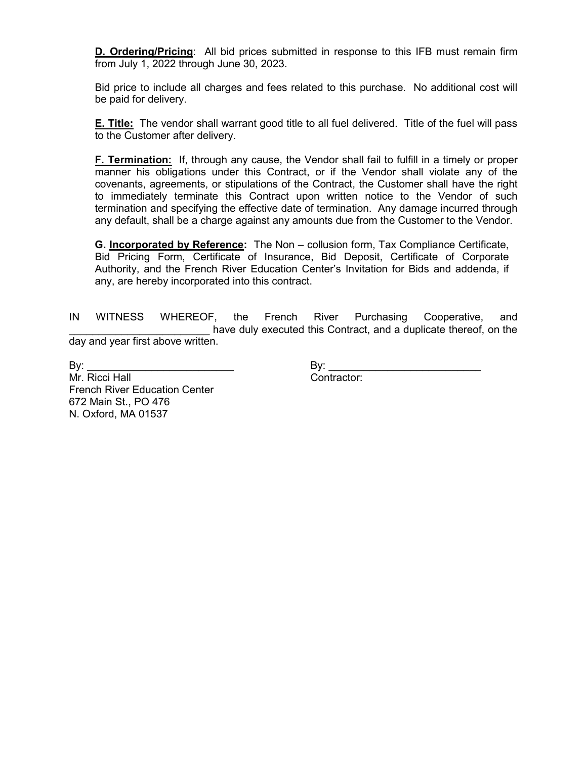**D. Ordering/Pricing**: All bid prices submitted in response to this IFB must remain firm from July 1, 2022 through June 30, 2023.

Bid price to include all charges and fees related to this purchase. No additional cost will be paid for delivery.

**E. Title:** The vendor shall warrant good title to all fuel delivered. Title of the fuel will pass to the Customer after delivery.

**F. Termination:** If, through any cause, the Vendor shall fail to fulfill in a timely or proper manner his obligations under this Contract, or if the Vendor shall violate any of the covenants, agreements, or stipulations of the Contract, the Customer shall have the right to immediately terminate this Contract upon written notice to the Vendor of such termination and specifying the effective date of termination. Any damage incurred through any default, shall be a charge against any amounts due from the Customer to the Vendor.

**G. Incorporated by Reference:** The Non – collusion form, Tax Compliance Certificate, Bid Pricing Form, Certificate of Insurance, Bid Deposit, Certificate of Corporate Authority, and the French River Education Center's Invitation for Bids and addenda, if any, are hereby incorporated into this contract.

IN WITNESS WHEREOF, the French River Purchasing Cooperative, and have duly executed this Contract, and a duplicate thereof, on the day and year first above written.

Mr. Ricci Hall **Contractor:** French River Education Center 672 Main St., PO 476 N. Oxford, MA 01537

By: \_\_\_\_\_\_\_\_\_\_\_\_\_\_\_\_\_\_\_\_\_\_\_\_\_ By: \_\_\_\_\_\_\_\_\_\_\_\_\_\_\_\_\_\_\_\_\_\_\_\_\_\_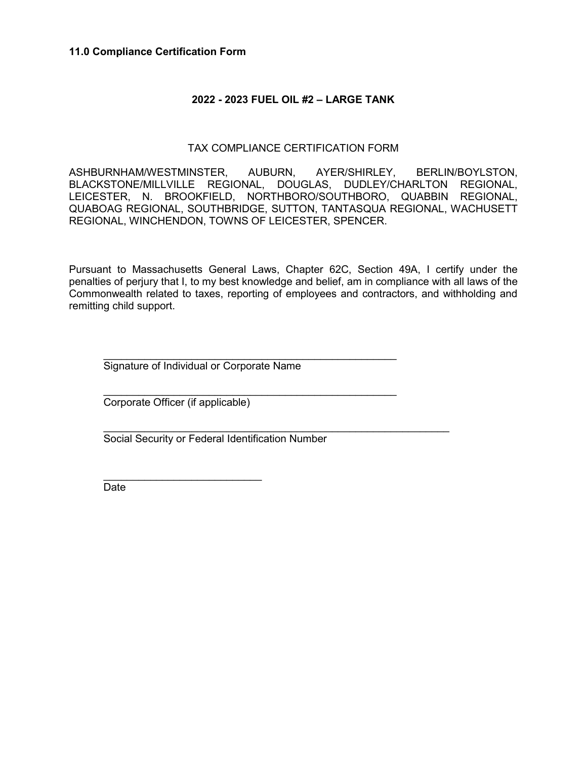#### **11.0 Compliance Certification Form**

#### **2022 - 2023 FUEL OIL #2 – LARGE TANK**

#### TAX COMPLIANCE CERTIFICATION FORM

ASHBURNHAM/WESTMINSTER, AUBURN, AYER/SHIRLEY, BERLIN/BOYLSTON, BLACKSTONE/MILLVILLE REGIONAL, DOUGLAS, DUDLEY/CHARLTON REGIONAL, LEICESTER, N. BROOKFIELD, NORTHBORO/SOUTHBORO, QUABBIN REGIONAL, QUABOAG REGIONAL, SOUTHBRIDGE, SUTTON, TANTASQUA REGIONAL, WACHUSETT REGIONAL, WINCHENDON, TOWNS OF LEICESTER, SPENCER.

Pursuant to Massachusetts General Laws, Chapter 62C, Section 49A, I certify under the penalties of perjury that I, to my best knowledge and belief, am in compliance with all laws of the Commonwealth related to taxes, reporting of employees and contractors, and withholding and remitting child support.

 $\mathcal{L}_\text{max}$  , and the set of the set of the set of the set of the set of the set of the set of the set of the set of the set of the set of the set of the set of the set of the set of the set of the set of the set of the Signature of Individual or Corporate Name

 $\frac{1}{2}$  ,  $\frac{1}{2}$  ,  $\frac{1}{2}$  ,  $\frac{1}{2}$  ,  $\frac{1}{2}$  ,  $\frac{1}{2}$  ,  $\frac{1}{2}$  ,  $\frac{1}{2}$  ,  $\frac{1}{2}$  ,  $\frac{1}{2}$  ,  $\frac{1}{2}$  ,  $\frac{1}{2}$  ,  $\frac{1}{2}$  ,  $\frac{1}{2}$  ,  $\frac{1}{2}$  ,  $\frac{1}{2}$  ,  $\frac{1}{2}$  ,  $\frac{1}{2}$  ,  $\frac{1$ Corporate Officer (if applicable)

 $\frac{1}{2}$  ,  $\frac{1}{2}$  ,  $\frac{1}{2}$  ,  $\frac{1}{2}$  ,  $\frac{1}{2}$  ,  $\frac{1}{2}$  ,  $\frac{1}{2}$  ,  $\frac{1}{2}$  ,  $\frac{1}{2}$  ,  $\frac{1}{2}$  ,  $\frac{1}{2}$  ,  $\frac{1}{2}$  ,  $\frac{1}{2}$  ,  $\frac{1}{2}$  ,  $\frac{1}{2}$  ,  $\frac{1}{2}$  ,  $\frac{1}{2}$  ,  $\frac{1}{2}$  ,  $\frac{1$ Social Security or Federal Identification Number

 $\overline{\phantom{a}}$  , where  $\overline{\phantom{a}}$  , where  $\overline{\phantom{a}}$  , where  $\overline{\phantom{a}}$ Date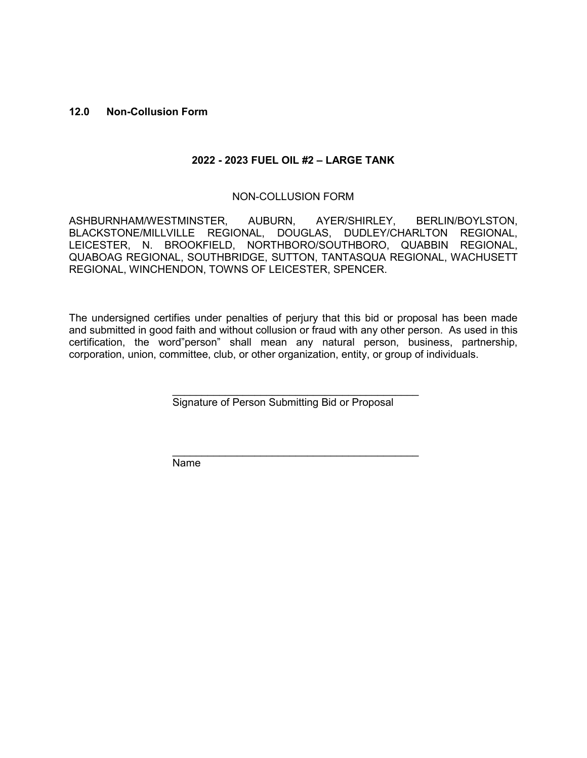#### **12.0 Non-Collusion Form**

## **2022 - 2023 FUEL OIL #2 – LARGE TANK**

#### NON-COLLUSION FORM

ASHBURNHAM/WESTMINSTER, AUBURN, AYER/SHIRLEY, BERLIN/BOYLSTON, BLACKSTONE/MILLVILLE REGIONAL, DOUGLAS, DUDLEY/CHARLTON REGIONAL, LEICESTER, N. BROOKFIELD, NORTHBORO/SOUTHBORO, QUABBIN REGIONAL, QUABOAG REGIONAL, SOUTHBRIDGE, SUTTON, TANTASQUA REGIONAL, WACHUSETT REGIONAL, WINCHENDON, TOWNS OF LEICESTER, SPENCER.

The undersigned certifies under penalties of perjury that this bid or proposal has been made and submitted in good faith and without collusion or fraud with any other person. As used in this certification, the word"person" shall mean any natural person, business, partnership, corporation, union, committee, club, or other organization, entity, or group of individuals.

Signature of Person Submitting Bid or Proposal

 $\frac{1}{2}$  ,  $\frac{1}{2}$  ,  $\frac{1}{2}$  ,  $\frac{1}{2}$  ,  $\frac{1}{2}$  ,  $\frac{1}{2}$  ,  $\frac{1}{2}$  ,  $\frac{1}{2}$  ,  $\frac{1}{2}$  ,  $\frac{1}{2}$  ,  $\frac{1}{2}$  ,  $\frac{1}{2}$  ,  $\frac{1}{2}$  ,  $\frac{1}{2}$  ,  $\frac{1}{2}$  ,  $\frac{1}{2}$  ,  $\frac{1}{2}$  ,  $\frac{1}{2}$  ,  $\frac{1$ 

 $\mathcal{L}_\text{max}$  , and the contract of the contract of the contract of the contract of the contract of the contract of the contract of the contract of the contract of the contract of the contract of the contract of the contr Name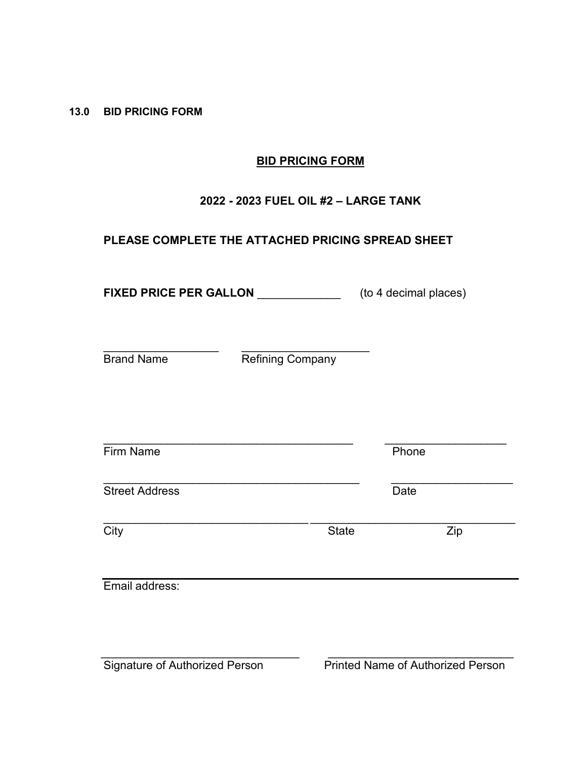**13.0 BID PRICING FORM**

# **BID PRICING FORM**

# **2022 - 2023 FUEL OIL #2 – LARGE TANK**

# **PLEASE COMPLETE THE ATTACHED PRICING SPREAD SHEET**

**FIXED PRICE PER GALLON** \_\_\_\_\_\_\_\_\_\_\_\_\_ (to 4 decimal places)

\_\_\_\_\_\_\_\_\_\_\_\_\_\_\_\_\_\_ \_\_\_\_\_\_\_\_\_\_\_\_\_\_\_\_\_\_\_\_

Brand Name Refining Company

Firm Name Phone \_\_\_\_\_\_\_\_\_\_\_\_\_\_\_\_\_\_\_\_\_\_\_\_\_\_\_\_\_\_\_\_\_\_\_\_\_\_\_\_ \_\_\_\_\_\_\_\_\_\_\_\_\_\_\_\_\_\_\_ Street Address Date \_\_\_\_\_\_\_\_\_\_\_\_\_\_\_\_\_\_\_\_\_\_\_\_\_\_\_\_\_\_\_\_ \_\_\_\_\_\_\_\_\_\_\_\_\_\_\_\_\_\_\_\_\_\_\_\_\_\_\_\_\_\_\_\_ City State Zip

\_\_\_\_\_\_\_\_\_\_\_\_\_\_\_\_\_\_\_\_\_\_\_\_\_\_\_\_\_\_\_\_\_\_\_\_\_\_\_ \_\_\_\_\_\_\_\_\_\_\_\_\_\_\_\_\_\_\_

Email address:

 $\overline{\phantom{a}}$  , and the contribution of the contribution of  $\overline{\phantom{a}}$  , and  $\overline{\phantom{a}}$  , and  $\overline{\phantom{a}}$  , and  $\overline{\phantom{a}}$  , and  $\overline{\phantom{a}}$  , and  $\overline{\phantom{a}}$  , and  $\overline{\phantom{a}}$  , and  $\overline{\phantom{a}}$  , and  $\overline{\phantom{a}}$  , and Signature of Authorized Person Printed Name of Authorized Person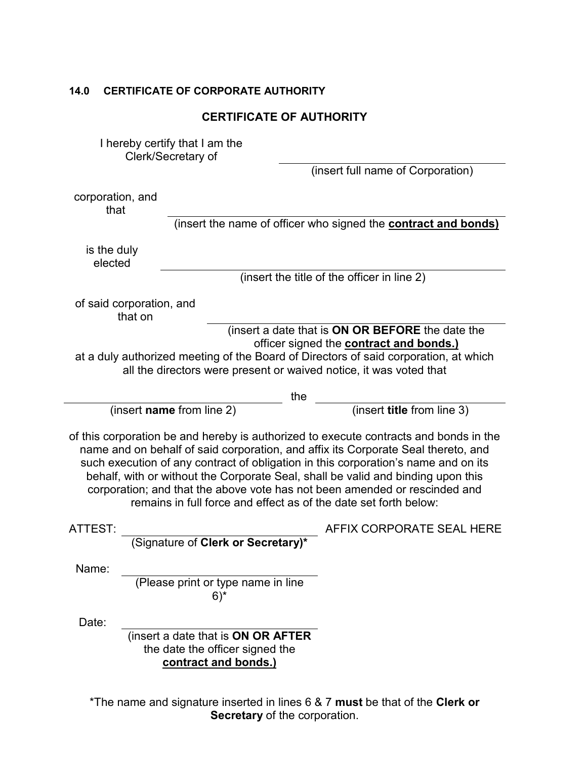# **14.0 CERTIFICATE OF CORPORATE AUTHORITY**

| <b>CERTIFICATE OF AUTHORITY</b>                                                                                                                                                                                                                                                                                                                                                                                                                                                                        |                                                                                               |                                                                       |  |
|--------------------------------------------------------------------------------------------------------------------------------------------------------------------------------------------------------------------------------------------------------------------------------------------------------------------------------------------------------------------------------------------------------------------------------------------------------------------------------------------------------|-----------------------------------------------------------------------------------------------|-----------------------------------------------------------------------|--|
|                                                                                                                                                                                                                                                                                                                                                                                                                                                                                                        | I hereby certify that I am the<br>Clerk/Secretary of                                          | (insert full name of Corporation)                                     |  |
| corporation, and<br>that                                                                                                                                                                                                                                                                                                                                                                                                                                                                               |                                                                                               | (insert the name of officer who signed the <b>contract and bonds)</b> |  |
| is the duly<br>elected                                                                                                                                                                                                                                                                                                                                                                                                                                                                                 |                                                                                               | (insert the title of the officer in line 2)                           |  |
|                                                                                                                                                                                                                                                                                                                                                                                                                                                                                                        | of said corporation, and<br>that on                                                           | (insert a date that is ON OR BEFORE the date the                      |  |
| officer signed the <b>contract and bonds.)</b><br>at a duly authorized meeting of the Board of Directors of said corporation, at which<br>all the directors were present or waived notice, it was voted that                                                                                                                                                                                                                                                                                           |                                                                                               |                                                                       |  |
| the                                                                                                                                                                                                                                                                                                                                                                                                                                                                                                    |                                                                                               |                                                                       |  |
|                                                                                                                                                                                                                                                                                                                                                                                                                                                                                                        | (insert name from line 2)                                                                     | (insert title from line 3)                                            |  |
| of this corporation be and hereby is authorized to execute contracts and bonds in the<br>name and on behalf of said corporation, and affix its Corporate Seal thereto, and<br>such execution of any contract of obligation in this corporation's name and on its<br>behalf, with or without the Corporate Seal, shall be valid and binding upon this<br>corporation; and that the above vote has not been amended or rescinded and<br>remains in full force and effect as of the date set forth below: |                                                                                               |                                                                       |  |
| ATTEST:                                                                                                                                                                                                                                                                                                                                                                                                                                                                                                |                                                                                               | AFFIX CORPORATE SEAL HERE                                             |  |
|                                                                                                                                                                                                                                                                                                                                                                                                                                                                                                        | (Signature of Clerk or Secretary)*                                                            |                                                                       |  |
| Name:                                                                                                                                                                                                                                                                                                                                                                                                                                                                                                  | (Please print or type name in line<br>$6)$ *                                                  |                                                                       |  |
| Date:                                                                                                                                                                                                                                                                                                                                                                                                                                                                                                  | (insert a date that is ON OR AFTER<br>the date the officer signed the<br>contract and bonds.) |                                                                       |  |

\*The name and signature inserted in lines 6 & 7 **must** be that of the **Clerk or Secretary** of the corporation.